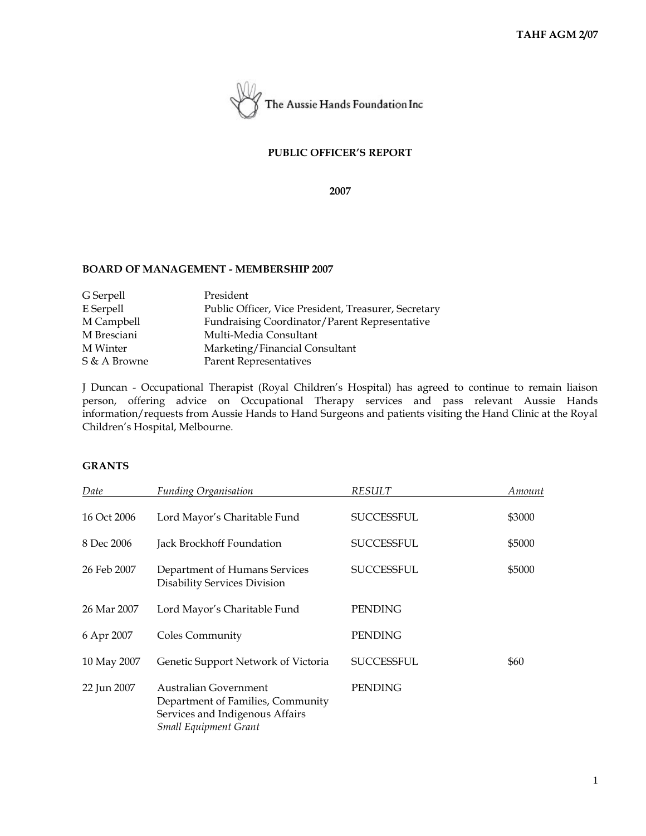

## **PUBLIC OFFICER'S REPORT**

**2007**

#### **BOARD OF MANAGEMENT - MEMBERSHIP 2007**

| G Serpell    | President                                            |
|--------------|------------------------------------------------------|
| E Serpell    | Public Officer, Vice President, Treasurer, Secretary |
| M Campbell   | Fundraising Coordinator/Parent Representative        |
| M Bresciani  | Multi-Media Consultant                               |
| M Winter     | Marketing/Financial Consultant                       |
| S & A Browne | Parent Representatives                               |
|              |                                                      |

J Duncan - Occupational Therapist (Royal Children's Hospital) has agreed to continue to remain liaison person, offering advice on Occupational Therapy services and pass relevant Aussie Hands information/requests from Aussie Hands to Hand Surgeons and patients visiting the Hand Clinic at the Royal Children's Hospital, Melbourne.

### **GRANTS**

| Date        | <b>Funding Organisation</b>                                                                                                   | RESULT            | Amount |
|-------------|-------------------------------------------------------------------------------------------------------------------------------|-------------------|--------|
| 16 Oct 2006 | Lord Mayor's Charitable Fund                                                                                                  | <b>SUCCESSFUL</b> | \$3000 |
| 8 Dec 2006  | Jack Brockhoff Foundation                                                                                                     | SUCCESSFUL        | \$5000 |
| 26 Feb 2007 | Department of Humans Services<br>Disability Services Division                                                                 | <b>SUCCESSFUL</b> | \$5000 |
| 26 Mar 2007 | Lord Mayor's Charitable Fund                                                                                                  | <b>PENDING</b>    |        |
| 6 Apr 2007  | Coles Community                                                                                                               | <b>PENDING</b>    |        |
| 10 May 2007 | Genetic Support Network of Victoria                                                                                           | SUCCESSFUL        | \$60   |
| 22 Jun 2007 | Australian Government<br>Department of Families, Community<br>Services and Indigenous Affairs<br><b>Small Equipment Grant</b> | <b>PENDING</b>    |        |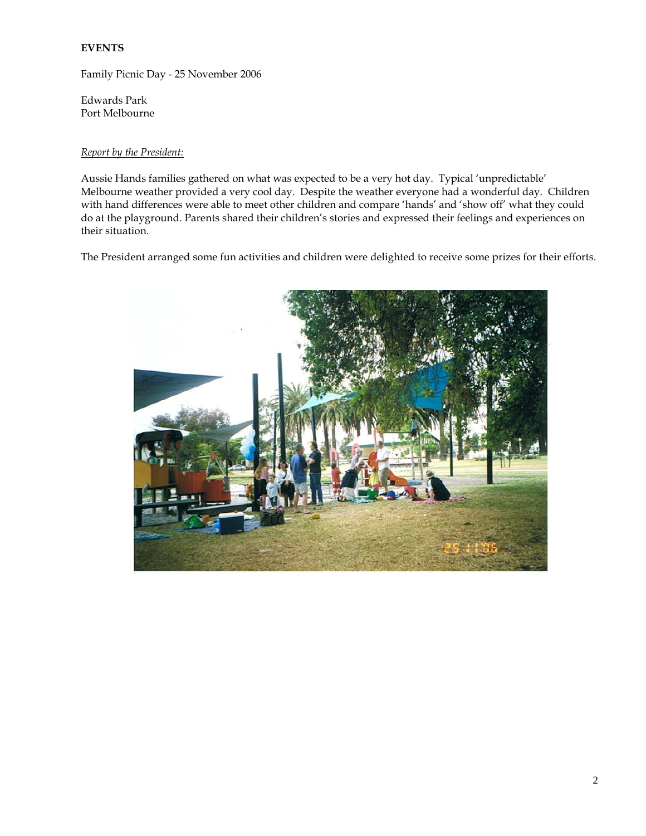# **EVENTS**

Family Picnic Day - 25 November 2006

Edwards Park Port Melbourne

# *Report by the President:*

Aussie Hands families gathered on what was expected to be a very hot day. Typical 'unpredictable' Melbourne weather provided a very cool day. Despite the weather everyone had a wonderful day. Children with hand differences were able to meet other children and compare 'hands' and 'show off' what they could do at the playground. Parents shared their children's stories and expressed their feelings and experiences on their situation.

The President arranged some fun activities and children were delighted to receive some prizes for their efforts.

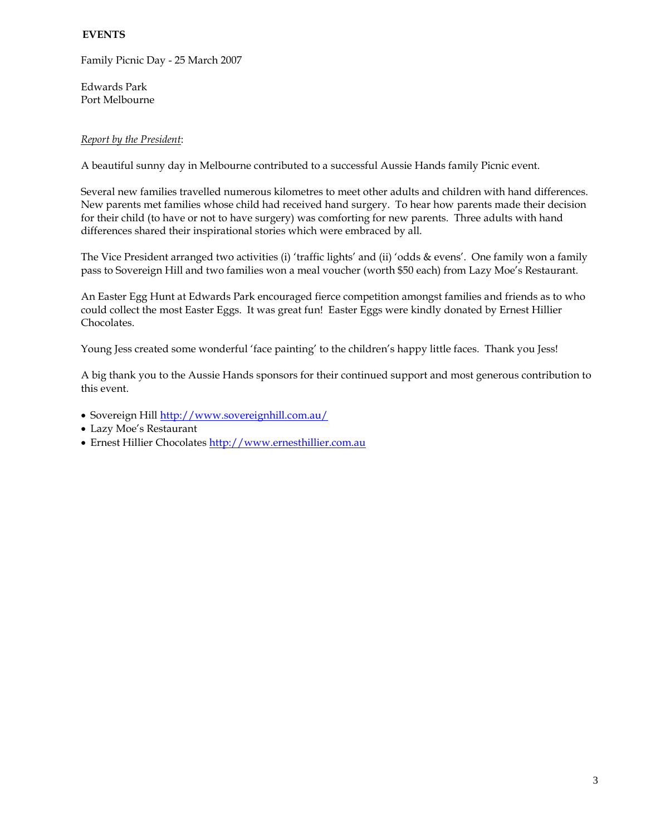# **EVENTS**

Family Picnic Day - 25 March 2007

Edwards Park Port Melbourne

## *Report by the President*:

A beautiful sunny day in Melbourne contributed to a successful Aussie Hands family Picnic event.

Several new families travelled numerous kilometres to meet other adults and children with hand differences. New parents met families whose child had received hand surgery. To hear how parents made their decision for their child (to have or not to have surgery) was comforting for new parents. Three adults with hand differences shared their inspirational stories which were embraced by all.

The Vice President arranged two activities (i) 'traffic lights' and (ii) 'odds & evens'. One family won a family pass to Sovereign Hill and two families won a meal voucher (worth \$50 each) from Lazy Moe's Restaurant.

An Easter Egg Hunt at Edwards Park encouraged fierce competition amongst families and friends as to who could collect the most Easter Eggs. It was great fun! Easter Eggs were kindly donated by Ernest Hillier Chocolates.

Young Jess created some wonderful 'face painting' to the children's happy little faces. Thank you Jess!

A big thank you to the Aussie Hands sponsors for their continued support and most generous contribution to this event.

- Sovereign Hill<http://www.sovereignhill.com.au/>
- Lazy Moe's Restaurant
- Ernest Hillier Chocolate[s http://www.ernesthillier.com.au](http://www.ernesthillier.com.au/)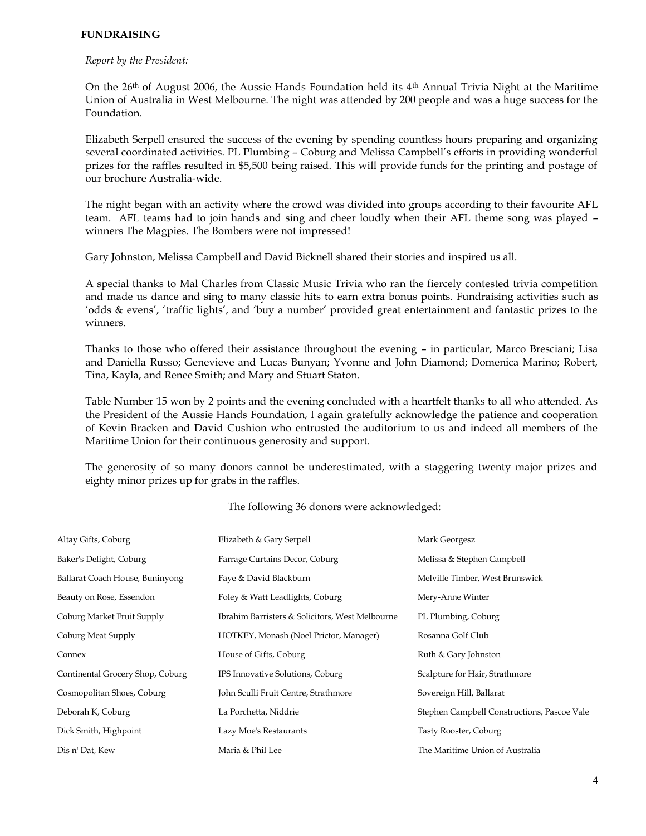### **FUNDRAISING**

#### *Report by the President:*

On the  $26<sup>th</sup>$  of August 2006, the Aussie Hands Foundation held its  $4<sup>th</sup>$  Annual Trivia Night at the Maritime Union of Australia in West Melbourne. The night was attended by 200 people and was a huge success for the Foundation.

Elizabeth Serpell ensured the success of the evening by spending countless hours preparing and organizing several coordinated activities. PL Plumbing – Coburg and Melissa Campbell's efforts in providing wonderful prizes for the raffles resulted in \$5,500 being raised. This will provide funds for the printing and postage of our brochure Australia-wide.

The night began with an activity where the crowd was divided into groups according to their favourite AFL team. AFL teams had to join hands and sing and cheer loudly when their AFL theme song was played – winners The Magpies. The Bombers were not impressed!

Gary Johnston, Melissa Campbell and David Bicknell shared their stories and inspired us all.

A special thanks to Mal Charles from Classic Music Trivia who ran the fiercely contested trivia competition and made us dance and sing to many classic hits to earn extra bonus points. Fundraising activities such as 'odds & evens', 'traffic lights', and 'buy a number' provided great entertainment and fantastic prizes to the winners.

Thanks to those who offered their assistance throughout the evening – in particular, Marco Bresciani; Lisa and Daniella Russo; Genevieve and Lucas Bunyan; Yvonne and John Diamond; Domenica Marino; Robert, Tina, Kayla, and Renee Smith; and Mary and Stuart Staton.

Table Number 15 won by 2 points and the evening concluded with a heartfelt thanks to all who attended. As the President of the Aussie Hands Foundation, I again gratefully acknowledge the patience and cooperation of Kevin Bracken and David Cushion who entrusted the auditorium to us and indeed all members of the Maritime Union for their continuous generosity and support.

The generosity of so many donors cannot be underestimated, with a staggering twenty major prizes and eighty minor prizes up for grabs in the raffles.

| Altay Gifts, Coburg              | Elizabeth & Gary Serpell                        | Mark Georgesz                               |
|----------------------------------|-------------------------------------------------|---------------------------------------------|
| Baker's Delight, Coburg          | Farrage Curtains Decor, Coburg                  | Melissa & Stephen Campbell                  |
| Ballarat Coach House, Buninyong  | Faye & David Blackburn                          | Melville Timber, West Brunswick             |
| Beauty on Rose, Essendon         | Foley & Watt Leadlights, Coburg                 | Mery-Anne Winter                            |
| Coburg Market Fruit Supply       | Ibrahim Barristers & Solicitors, West Melbourne | PL Plumbing, Coburg                         |
| Coburg Meat Supply               | HOTKEY, Monash (Noel Prictor, Manager)          | Rosanna Golf Club                           |
| Connex                           | House of Gifts, Coburg                          | Ruth & Gary Johnston                        |
| Continental Grocery Shop, Coburg | IPS Innovative Solutions, Coburg                | Scalpture for Hair, Strathmore              |
| Cosmopolitan Shoes, Coburg       | John Sculli Fruit Centre, Strathmore            | Sovereign Hill, Ballarat                    |
| Deborah K, Coburg                | La Porchetta, Niddrie                           | Stephen Campbell Constructions, Pascoe Vale |
| Dick Smith, Highpoint            | Lazy Moe's Restaurants                          | Tasty Rooster, Coburg                       |
| Dis n' Dat, Kew                  | Maria & Phil Lee                                | The Maritime Union of Australia             |

The following 36 donors were acknowledged: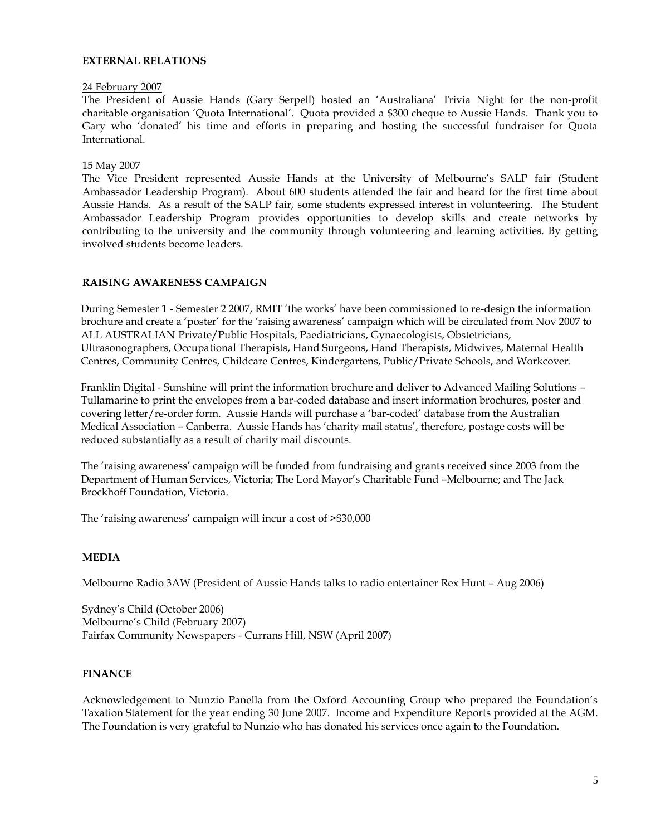### **EXTERNAL RELATIONS**

#### 24 February 2007

The President of Aussie Hands (Gary Serpell) hosted an 'Australiana' Trivia Night for the non-profit charitable organisation 'Quota International'. Quota provided a \$300 cheque to Aussie Hands. Thank you to Gary who 'donated' his time and efforts in preparing and hosting the successful fundraiser for Quota International.

#### 15 May 2007

The Vice President represented Aussie Hands at the University of Melbourne's SALP fair (Student Ambassador Leadership Program). About 600 students attended the fair and heard for the first time about Aussie Hands. As a result of the SALP fair, some students expressed interest in volunteering. The Student Ambassador Leadership Program provides opportunities to develop skills and create networks by contributing to the university and the community through volunteering and learning activities. By getting involved students become leaders.

### **RAISING AWARENESS CAMPAIGN**

During Semester 1 - Semester 2 2007, RMIT 'the works' have been commissioned to re-design the information brochure and create a 'poster' for the 'raising awareness' campaign which will be circulated from Nov 2007 to ALL AUSTRALIAN Private/Public Hospitals, Paediatricians, Gynaecologists, Obstetricians, Ultrasonographers, Occupational Therapists, Hand Surgeons, Hand Therapists, Midwives, Maternal Health Centres, Community Centres, Childcare Centres, Kindergartens, Public/Private Schools, and Workcover.

Franklin Digital - Sunshine will print the information brochure and deliver to Advanced Mailing Solutions – Tullamarine to print the envelopes from a bar-coded database and insert information brochures, poster and covering letter/re-order form. Aussie Hands will purchase a 'bar-coded' database from the Australian Medical Association – Canberra. Aussie Hands has 'charity mail status', therefore, postage costs will be reduced substantially as a result of charity mail discounts.

The 'raising awareness' campaign will be funded from fundraising and grants received since 2003 from the Department of Human Services, Victoria; The Lord Mayor's Charitable Fund –Melbourne; and The Jack Brockhoff Foundation, Victoria.

The 'raising awareness' campaign will incur a cost of >\$30,000

# **MEDIA**

Melbourne Radio 3AW (President of Aussie Hands talks to radio entertainer Rex Hunt – Aug 2006)

Sydney's Child (October 2006) Melbourne's Child (February 2007) Fairfax Community Newspapers - Currans Hill, NSW (April 2007)

#### **FINANCE**

Acknowledgement to Nunzio Panella from the Oxford Accounting Group who prepared the Foundation's Taxation Statement for the year ending 30 June 2007. Income and Expenditure Reports provided at the AGM. The Foundation is very grateful to Nunzio who has donated his services once again to the Foundation.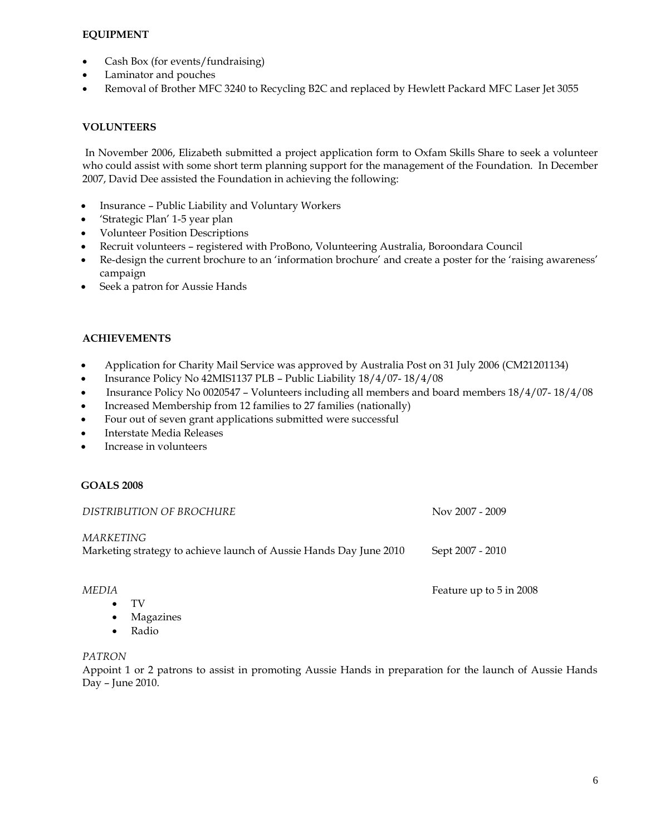# **EQUIPMENT**

- Cash Box (for events/fundraising)
- Laminator and pouches
- Removal of Brother MFC 3240 to Recycling B2C and replaced by Hewlett Packard MFC Laser Jet 3055

# **VOLUNTEERS**

In November 2006, Elizabeth submitted a project application form to Oxfam Skills Share to seek a volunteer who could assist with some short term planning support for the management of the Foundation. In December 2007, David Dee assisted the Foundation in achieving the following:

- Insurance Public Liability and Voluntary Workers
- 'Strategic Plan' 1-5 year plan
- Volunteer Position Descriptions
- Recruit volunteers registered with ProBono, Volunteering Australia, Boroondara Council
- Re-design the current brochure to an 'information brochure' and create a poster for the 'raising awareness' campaign
- Seek a patron for Aussie Hands

# **ACHIEVEMENTS**

- Application for Charity Mail Service was approved by Australia Post on 31 July 2006 (CM21201134)
- Insurance Policy No 42MIS1137 PLB Public Liability 18/4/07-18/4/08
- Insurance Policy No 0020547 Volunteers including all members and board members 18/4/07- 18/4/08
- Increased Membership from 12 families to 27 families (nationally)
- Four out of seven grant applications submitted were successful
- Interstate Media Releases
- Increase in volunteers

# **GOALS 2008**

| DISTRIBUTION OF BROCHURE                                                        | Nov 2007 - 2009  |
|---------------------------------------------------------------------------------|------------------|
| MARKETING<br>Marketing strategy to achieve launch of Aussie Hands Day June 2010 | Sept 2007 - 2010 |

#### *MEDIA* Feature up to 5 in 2008

- TV
	- Magazines
	- Radio

### *PATRON*

Appoint 1 or 2 patrons to assist in promoting Aussie Hands in preparation for the launch of Aussie Hands Day – June 2010.